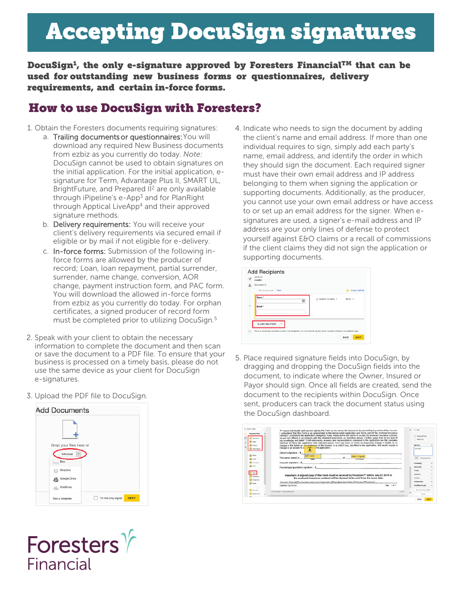# Accepting DocuSign signatures

DocuSign $^1$ , the only e-signature approved by Foresters Financial $^{TM}$  that can be used for outstanding new business forms or questionnaires, delivery requirements, and certain in-force forms.

### How to use DocuSign with Foresters?

- 1. Obtain the Foresters documents requiring signatures:
	- a. Trailing documents or questionnaires: You will download any required New Business documents from ezbiz as you currently do today. *Note:* DocuSign cannot be used to obtain signatures on the initial application. For the initial application, esignature for Term, Advantage Plus II, SMART UL, BrightFuture, and Prepared II<sup>2</sup> are only available through iPipeline's e-App<sup>3</sup> and for PlanRight through Apptical LiveApp<sup>4</sup> and their approved signature methods.
	- b. Delivery requirements: You will receive your client's delivery requirements via secured email if eligible or by mail if not eligible for e-delivery.
	- c. In-force forms: Submission of the following inforce forms are allowed by the producer of record; Loan, loan repayment, partial surrender, surrender, name change, conversion, AOR change, payment instruction form, and PAC form. You will download the allowed in-force forms from ezbiz as you currently do today. For orphan certificates, a signed producer of record form must be completed prior to utilizing DocuSign.<sup>5</sup>
- 2. Speak with your client to obtain the necessary information to complete the document and then scan or save the document to a PDF file. To ensure that your business is processed on a timely basis, please do not use the same device as your client for DocuSign e-signatures.
- 3. Upload the PDF file to DocuSign.





4. Indicate who needs to sign the document by adding the client's name and email address. If more than one individual requires to sign, simply add each party's name, email address, and identify the order in which they should sign the document. Each required signer must have their own email address and IP address belonging to them when signing the application or supporting documents. Additionally, as the producer, you cannot use your own email address or have access to or set up an email address for the signer. When esignatures are used, a signer's e-mail address and IP address are your only lines of defense to protect yourself against E&O claims or a recall of commissions if the client claims they did not sign the application or supporting documents.



5. Place required signature fields into DocuSign, by dragging and dropping the DocuSign fields into the document, to indicate where the Owner, Insured or Payor should sign. Once all fields are created, send the document to the recipients within DocuSign. Once sent, producers can track the document status using the DocuSign dashboard.

| Ct. General Fastes                                            | "I" means individually each person signing this Form as the owner, the insured or the parent/legal quardian of the insured.                                                                                                                                                                                                                                                                                                                                                                                                                                                                                                     |        | ×. | 7.546                                                    |        |
|---------------------------------------------------------------|---------------------------------------------------------------------------------------------------------------------------------------------------------------------------------------------------------------------------------------------------------------------------------------------------------------------------------------------------------------------------------------------------------------------------------------------------------------------------------------------------------------------------------------------------------------------------------------------------------------------------------|--------|----|----------------------------------------------------------|--------|
| <b>Standard Fabio</b><br><b>Ticruture</b><br><b>Stational</b> | understand that this Form is an amendment to the above-noted application and forms part of the enclosed insurance<br>contract. I consent to the application change(s), if any, noted above and agree to accept the enclosed insurance contract,<br>issued and offered in accordance with the amended application, as described above. I further agree that, to the best of<br>my knowledge and belief: 1) All statements, answers and representations contained in the application are full, complete<br>and true. 2) Since the application date indicated above. there has been no event, no diagnosed change in health, or no |        |    | <b>D</b> Repared Fold<br><b>T</b> Read Only              |        |
| <b>Blueso</b>                                                 | change in the habits or circumstances of the insured, or a child if any, identified in the application, that would require a                                                                                                                                                                                                                                                                                                                                                                                                                                                                                                    |        |    | <b>Add Text</b>                                          |        |
| <b>Cate Signad</b>                                            | change to an answer to a<br>in the application.<br><b>Argon</b><br>≛                                                                                                                                                                                                                                                                                                                                                                                                                                                                                                                                                            |        |    | Annual                                                   |        |
|                                                               | Owner's signature: X                                                                                                                                                                                                                                                                                                                                                                                                                                                                                                                                                                                                            |        |    |                                                          |        |
| E. Name                                                       | add text<br>Date Signed<br>The owner signed in                                                                                                                                                                                                                                                                                                                                                                                                                                                                                                                                                                                  |        |    | 4000 Chevrolet Evrolt                                    |        |
| <b>B</b> brust                                                | <b><i><u>INSTALLATION</u></i></b>                                                                                                                                                                                                                                                                                                                                                                                                                                                                                                                                                                                               |        |    |                                                          |        |
| <b>H</b> Garages                                              | Insured's signature: X                                                                                                                                                                                                                                                                                                                                                                                                                                                                                                                                                                                                          |        |    | Formation                                                | ٠      |
| <b>B</b> 100                                                  | Parent/Legal guardian's signature : X.                                                                                                                                                                                                                                                                                                                                                                                                                                                                                                                                                                                          |        |    | <b>Cata Label</b>                                        | ٠      |
|                                                               |                                                                                                                                                                                                                                                                                                                                                                                                                                                                                                                                                                                                                                 |        |    | <b>Toolka</b>                                            | ٠      |
| $T$ Sec<br><b>Chanton</b>                                     | Important: A signed copy of this Form must be received by Foresters™ before July 27, 2019 or                                                                                                                                                                                                                                                                                                                                                                                                                                                                                                                                    |        |    | Validation                                               | ÷      |
| <b>El</b> Drastown                                            | the enclosed insurance contract will be deemed to be void from the issue date.                                                                                                                                                                                                                                                                                                                                                                                                                                                                                                                                                  |        |    | Lecation                                                 | $\sim$ |
| <b>RI Factor</b>                                              | Foresters Financial <sup>ne</sup> is the trade name and a trademark of The Independent Order of Foresters ("Foresters").                                                                                                                                                                                                                                                                                                                                                                                                                                                                                                        |        |    | <b><i><u><i><u><b>Administration</b></u></i></u></i></b> | $\sim$ |
|                                                               | Page 1 of 1<br>105791 CA 07/13                                                                                                                                                                                                                                                                                                                                                                                                                                                                                                                                                                                                  |        |    | Conditional Logic                                        |        |
| Fx Fornuts                                                    | US Occtuer - Amendment III                                                                                                                                                                                                                                                                                                                                                                                                                                                                                                                                                                                                      | 1 of 2 |    | Says As Custom Fedd                                      |        |
| <b>All Allahound</b>                                          |                                                                                                                                                                                                                                                                                                                                                                                                                                                                                                                                                                                                                                 |        |    | Dates                                                    |        |
|                                                               |                                                                                                                                                                                                                                                                                                                                                                                                                                                                                                                                                                                                                                 |        |    |                                                          |        |